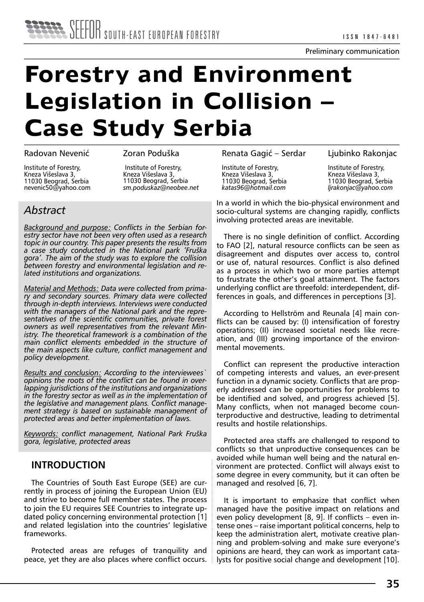# **Forestry and Environment Legislation in Collision – Case Study Serbia**

#### Radovan Nevenić

Zoran Poduška

Institute of Forestry, Kneza Višeslava 3, 11030 Beograd, Serbia nevenic50@yahoo.com

 Institute of Forestry, Kneza Višeslava 3, 11030 Beograd, Serbia *sm.poduskaz@neobee.net* 

# *Abstract*

*Background and purpose: Conflicts in the Serbian forestry sector have not been very often used as a research topic in our country. This paper presents the results from a case study conducted in the National park 'Fruška gora'. The aim of the study was to explore the collision between forestry and environmental legislation and related institutions and organizations.* 

*Material and Methods: Data were collected from primary and secondary sources. Primary data were collected through in-depth interviews. Interviews were conducted with the managers of the National park and the representatives of the scientific communities, private forest owners as well representatives from the relevant Ministry. The theoretical framework is a combination of the main conflict elements embedded in the structure of the main aspects like culture, conflict management and policy development.*

*Results and conclusion: According to the interviewees` opinions the roots of the conflict can be found in overlapping jurisdictions of the institutions and organizations in the forestry sector as well as in the implementation of the legislative and management plans. Conflict management strategy is based on sustainable management of protected areas and better implementation of laws.*

*Keywords: conflict management, National Park Fruška gora, legislative, protected areas*

# **INTRODUCTION**

The Countries of South East Europe (SEE) are currently in process of joining the European Union (EU) and strive to become full member states. The process to join the EU requires SEE Countries to integrate updated policy concerning environmental protection [1] and related legislation into the countries' legislative frameworks.

Protected areas are refuges of tranquility and peace, yet they are also places where conflict occurs. Renata Gagić – Serdar

Ljubinko Rakonjac

Institute of Forestry, Kneza Višeslava 3, 11030 Beograd, Serbia *katas96@hotmail.com*

Institute of Forestry, Kneza Višeslava 3, 11030 Beograd, Serbia *ljrakonjac@yahoo.com*

In a world in which the bio-physical environment and socio-cultural systems are changing rapidly, conflicts involving protected areas are inevitable.

There is no single definition of conflict. According to FAO [2], natural resource conflicts can be seen as disagreement and disputes over access to, control or use of, natural resources. Conflict is also defined as a process in which two or more parties attempt to frustrate the other's goal attainment. The factors underlying conflict are threefold: interdependent, differences in goals, and differences in perceptions [3].

According to Hellström and Reunala [4] main conflicts can be caused by: (I) intensification of forestry operations; (II) increased societal needs like recreation, and (III) growing importance of the environmental movements.

Conflict can represent the productive interaction of competing interests and values, an ever-present function in a dynamic society. Conflicts that are properly addressed can be opportunities for problems to be identified and solved, and progress achieved [5]. Many conflicts, when not managed become counterproductive and destructive, leading to detrimental results and hostile relationships.

Protected area staffs are challenged to respond to conflicts so that unproductive consequences can be avoided while human well being and the natural environment are protected. Conflict will always exist to some degree in every community, but it can often be managed and resolved [6, 7].

It is important to emphasize that conflict when managed have the positive impact on relations and even policy development [8, 9]. If conflicts – even intense ones – raise important political concerns, help to keep the administration alert, motivate creative planning and problem-solving and make sure everyone's opinions are heard, they can work as important catalysts for positive social change and development [10].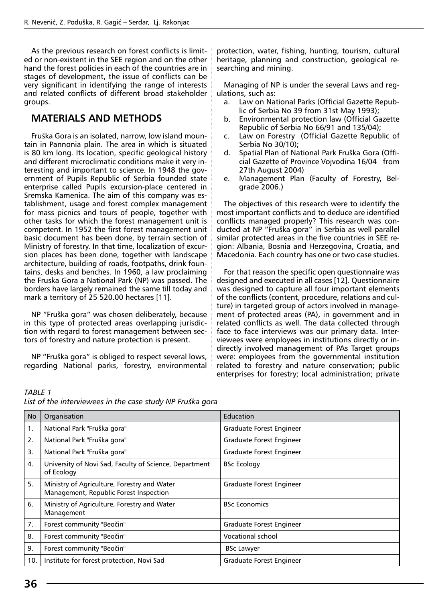As the previous research on forest conflicts is limited or non-existent in the SEE region and on the other hand the forest policies in each of the countries are in stages of development, the issue of conflicts can be very significant in identifying the range of interests and related conflicts of different broad stakeholder groups.

# **MATERIALS AND METHODS**

Fruška Gora is an isolated, narrow, low island mountain in Pannonia plain. The area in which is situated is 80 km long. Its location, specific geological history and different microclimatic conditions make it very interesting and important to science. In 1948 the government of Pupils Republic of Serbia founded state enterprise called Pupils excursion-place centered in Sremska Kamenica. The aim of this company was establishment, usage and forest complex management for mass picnics and tours of people, together with other tasks for which the forest management unit is competent. In 1952 the first forest management unit basic document has been done, by terrain section of Ministry of forestry. In that time, localization of excursion places has been done, together with landscape architecture, building of roads, footpaths, drink fountains, desks and benches. In 1960, a law proclaiming the Fruska Gora a National Park (NP) was passed. The borders have largely remained the same till today and mark a territory of 25 520.00 hectares [11].

NP "Fruška gora" was chosen deliberately, because in this type of protected areas overlapping jurisdiction with regard to forest management between sectors of forestry and nature protection is present.

NP "Fruška gora" is obliged to respect several lows, regarding National parks, forestry, environmental protection, water, fishing, hunting, tourism, cultural heritage, planning and construction, geological researching and mining.

Managing of NP is under the several Laws and regulations, such as:

- a. Law on National Parks (Official Gazette Republic of Serbia No 39 from 31st May 1993);
- b. Environmental protection law (Official Gazette Republic of Serbia No 66/91 and 135/04);
- c. Law on Forestry (Official Gazette Republic of Serbia No 30/10);
- d. Spatial Plan of National Park Fruška Gora (Official Gazette of Province Vojvodina 16/04 from 27th August 2004)
- e. Management Plan (Faculty of Forestry, Belgrade 2006.)

The objectives of this research were to identify the most important conflicts and to deduce are identified conflicts managed properly? This research was conducted at NP "Fruška gora" in Serbia as well parallel similar protected areas in the five countries in SEE region: Albania, Bosnia and Herzegovina, Croatia, and Macedonia. Each country has one or two case studies.

For that reason the specific open questionnaire was designed and executed in all cases [12]. Questionnaire was designed to capture all four important elements of the conflicts (content, procedure, relations and culture) in targeted group of actors involved in management of protected areas (PA), in government and in related conflicts as well. The data collected through face to face interviews was our primary data. Interviewees were employees in institutions directly or indirectly involved management of PAs Target groups were: employees from the governmental institution related to forestry and nature conservation; public enterprises for forestry; local administration; private

| TABLE 1 |                                                           |  |  |  |
|---------|-----------------------------------------------------------|--|--|--|
|         | List of the interviewees in the case study NP Fruška gora |  |  |  |

| <b>No</b> | Organisation                                                                          | Education                |
|-----------|---------------------------------------------------------------------------------------|--------------------------|
| 1.        | National Park "Fruška gora"                                                           | Graduate Forest Engineer |
| 2.        | National Park "Fruška gora"                                                           | Graduate Forest Engineer |
| 3.        | National Park "Fruška gora"                                                           | Graduate Forest Engineer |
| 4.        | University of Novi Sad, Faculty of Science, Department<br>of Ecology                  | <b>BSc Ecology</b>       |
| 5.        | Ministry of Agriculture, Forestry and Water<br>Management, Republic Forest Inspection | Graduate Forest Engineer |
| 6.        | Ministry of Agriculture, Forestry and Water<br>Management                             | <b>BSc Economics</b>     |
| 7.        | Forest community "Beočin"                                                             | Graduate Forest Engineer |
| 8.        | Forest community "Beočin"                                                             | <b>Vocational school</b> |
| 9.        | Forest community "Beočin"                                                             | <b>BSc Lawyer</b>        |
| 10.       | Institute for forest protection, Novi Sad                                             | Graduate Forest Engineer |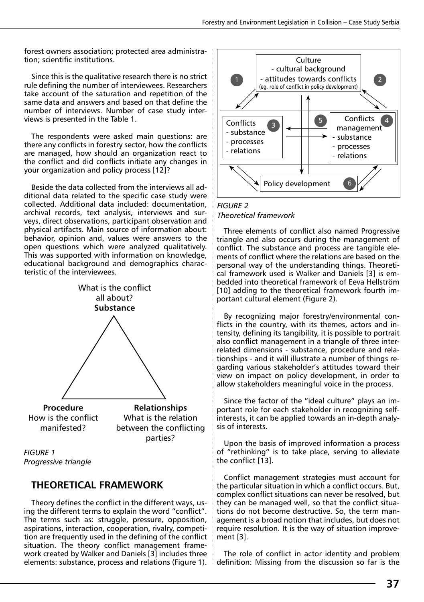forest owners association; protected area administration; scientific institutions.

Since this is the qualitative research there is no strict rule defining the number of interviewees. Researchers take account of the saturation and repetition of the same data and answers and based on that define the number of interviews. Number of case study interviews is presented in the Table 1.

The respondents were asked main questions: are there any conflicts in forestry sector, how the conflicts are managed, how should an organization react to the conflict and did conflicts initiate any changes in your organization and policy process [12]?

Beside the data collected from the interviews all additional data related to the specific case study were collected. Additional data included: documentation, archival records, text analysis, interviews and surveys, direct observations, participant observation and physical artifacts. Main source of information about: behavior, opinion and, values were answers to the open questions which were analyzed qualitatively. This was supported with information on knowledge, educational background and demographics characteristic of the interviewees.



*FIGURE 1 Progressive triangle*

# **THEORETICAL FRAMEWORK**

Theory defines the conflict in the different ways, using the different terms to explain the word "conflict". The terms such as: struggle, pressure, opposition, aspirations, interaction, cooperation, rivalry, competition are frequently used in the defining of the conflict situation. The theory conflict management framework created by Walker and Daniels [3] includes three elements: substance, process and relations (Figure 1).



*FIGURE 2 Theoretical framework*

Three elements of conflict also named Progressive triangle and also occurs during the management of conflict. The substance and process are tangible elements of conflict where the relations are based on the personal way of the understanding things. Theoretical framework used is Walker and Daniels [3] is embedded into theoretical framework of Eeva Hellström [10] adding to the theoretical framework fourth important cultural element (Figure 2).

By recognizing major forestry/environmental conflicts in the country, with its themes, actors and intensity, defining its tangibility, it is possible to portrait also conflict management in a triangle of three interrelated dimensions - substance, procedure and relationships - and it will illustrate a number of things regarding various stakeholder's attitudes toward their view on impact on policy development, in order to allow stakeholders meaningful voice in the process.

Since the factor of the "ideal culture" plays an important role for each stakeholder in recognizing selfinterests, it can be applied towards an in-depth analysis of interests.

Upon the basis of improved information a process of "rethinking" is to take place, serving to alleviate the conflict [13].

Conflict management strategies must account for the particular situation in which a conflict occurs. But, complex conflict situations can never be resolved, but they can be managed well, so that the conflict situations do not become destructive. So, the term management is a broad notion that includes, but does not require resolution. It is the way of situation improvement [3].

The role of conflict in actor identity and problem definition: Missing from the discussion so far is the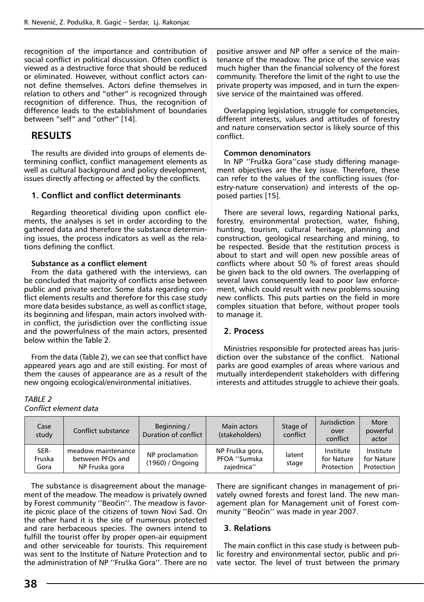recognition of the importance and contribution of social conflict in political discussion. Often conflict is viewed as a destructive force that should be reduced or eliminated. However, without conflict actors cannot define themselves. Actors define themselves in relation to others and "other" is recognized through recognition of difference. Thus, the recognition of difference leads to the establishment of boundaries between "self" and "other" [14].

#### **RESULTS**

The results are divided into groups of elements determining conflict, conflict management elements as well as cultural background and policy development, issues directly affecting or affected by the conflicts.

#### **1. Conflict and conflict determinants**

Regarding theoretical dividing upon conflict elements, the analyses is set in order according to the gathered data and therefore the substance determining issues, the process indicators as well as the relations defining the conflict.

#### **Substance as a conflict element**

From the data gathered with the interviews, can be concluded that majority of conflicts arise between public and private sector. Some data regarding conflict elements results and therefore for this case study more data besides substance, as well as conflict stage, its beginning and lifespan, main actors involved within conflict, the jurisdiction over the conflicting issue and the powerfulness of the main actors, presented below within the Table 2.

From the data (Table 2), we can see that conflict have appeared years ago and are still existing. For most of them the causes of appearance are as a result of the new ongoing ecological/environmental initiatives.

positive answer and NP offer a service of the maintenance of the meadow. The price of the service was much higher than the financial solvency of the forest community. Therefore the limit of the right to use the private property was imposed, and in turn the expensive service of the maintained was offered.

Overlapping legislation, struggle for competencies, different interests, values and attitudes of forestry and nature conservation sector is likely source of this conflict.

#### **Common denominators**

In NP ''Fruška Gora''case study differing management objectives are the key issue. Therefore, these can refer to the values of the conflicting issues (forestry-nature conservation) and interests of the opposed parties [15].

There are several lows, regarding National parks, forestry, environmental protection, water, fishing, hunting, tourism, cultural heritage, planning and construction, geological researching and mining, to be respected. Beside that the restitution process is about to start and will open new possible areas of conflicts where about 50 % of forest areas should be given back to the old owners. The overlapping of several laws consequently lead to poor law enforcement, which could result with new problems sousing new conflicts. This puts parties on the field in more complex situation that before, without proper tools to manage it.

#### **2. Process**

Ministries responsible for protected areas has jurisdiction over the substance of the conflict. National parks are good examples of areas where various and mutually interdependent stakeholders with differing interests and attitudes struggle to achieve their goals.

| Case<br>study          | Conflict substance                                       | Beginning /<br>Duration of conflict | Main actors<br>(stakeholders)                 | Stage of<br>conflict | Jurisdiction<br>over<br>conflict      | More<br>powerful<br>actor             |
|------------------------|----------------------------------------------------------|-------------------------------------|-----------------------------------------------|----------------------|---------------------------------------|---------------------------------------|
| SER-<br>Fruska<br>Gora | meadow maintenance<br>between PFOs and<br>NP Fruska gora | NP proclamation<br>(1960) / Ongoing | NP Fruška gora,<br>PFOA "Sumska<br>zaiednica" | latent<br>stage      | Institute<br>for Nature<br>Protection | Institute<br>for Nature<br>Protection |

The substance is disagreement about the management of the meadow. The meadow is privately owned by Forest community ''Beočin''. The meadow is favorite picnic place of the citizens of town Novi Sad. On the other hand it is the site of numerous protected and rare herbaceous species. The owners intend to fulfill the tourist offer by proper open-air equipment and other serviceable for tourists. This requirement was sent to the Institute of Nature Protection and to the administration of NP ''Fruška Gora''. There are no There are significant changes in management of privately owned forests and forest land. The new management plan for Management unit of Forest community ''Beočin'' was made in year 2007.

#### **3. Relations**

The main conflict in this case study is between public forestry and environmental sector, public and private sector. The level of trust between the primary

*TABLE 2*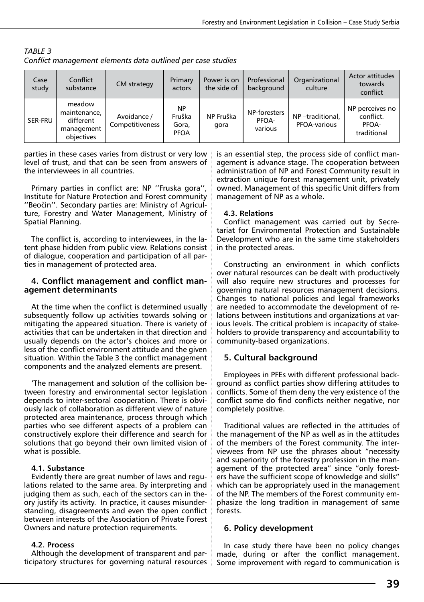| Case<br>study | Conflict<br>substance                                           | CM strategy                           | Primary<br>actors                           | Power is on<br>the side of | Professional<br>background       | Organizational<br>culture              | Actor attitudes<br>towards<br>conflict               |  |
|---------------|-----------------------------------------------------------------|---------------------------------------|---------------------------------------------|----------------------------|----------------------------------|----------------------------------------|------------------------------------------------------|--|
| SER-FRU       | meadow<br>maintenance,<br>different<br>management<br>obiectives | Avoidance /<br><b>Competitiveness</b> | <b>NP</b><br>Fruška<br>Gora,<br><b>PFOA</b> | NP Fruška<br>gora          | NP-foresters<br>PFOA-<br>various | NP-traditional,<br><b>PFOA-various</b> | NP perceives no<br>conflict.<br>PFOA-<br>traditional |  |

*TABLE 3 Conflict management elements data outlined per case studies*

parties in these cases varies from distrust or very low level of trust, and that can be seen from answers of the interviewees in all countries.

Primary parties in conflict are: NP ''Fruska gora'', Institute for Nature Protection and Forest community ''Beočin''. Secondary parties are: Ministry of Agriculture, Forestry and Water Management, Ministry of Spatial Planning.

The conflict is, according to interviewees, in the latent phase hidden from public view. Relations consist of dialogue, cooperation and participation of all parties in management of protected area.

# **4. Conflict management and conflict man- agement determinants**

At the time when the conflict is determined usually subsequently follow up activities towards solving or mitigating the appeared situation. There is variety of activities that can be undertaken in that direction and usually depends on the actor's choices and more or less of the conflict environment attitude and the given situation. Within the Table 3 the conflict management components and the analyzed elements are present.

'The management and solution of the collision between forestry and environmental sector legislation depends to inter-sectoral cooperation. There is obviously lack of collaboration as different view of nature protected area maintenance, process through which parties who see different aspects of a problem can constructively explore their difference and search for solutions that go beyond their own limited vision of what is possible.

#### **4.1. Substance**

Evidently there are great number of laws and regulations related to the same area. By interpreting and judging them as such, each of the sectors can in theory justify its activity. In practice, it causes misunderstanding, disagreements and even the open conflict between interests of the Association of Private Forest Owners and nature protection requirements.

#### **4.2. Process**

Although the development of transparent and participatory structures for governing natural resources is an essential step, the process side of conflict management is advance stage. The cooperation between administration of NP and Forest Community result in extraction unique forest management unit, privately owned. Management of this specific Unit differs from management of NP as a whole.

#### **4.3. Relations**

Conflict management was carried out by Secretariat for Environmental Protection and Sustainable Development who are in the same time stakeholders in the protected areas.

Constructing an environment in which conflicts over natural resources can be dealt with productively will also require new structures and processes for governing natural resources management decisions. Changes to national policies and legal frameworks are needed to accommodate the development of relations between institutions and organizations at various levels. The critical problem is incapacity of stakeholders to provide transparency and accountability to community-based organizations.

## **5. Cultural background**

Employees in PFEs with different professional background as conflict parties show differing attitudes to conflicts. Some of them deny the very existence of the conflict some do find conflicts neither negative, nor completely positive.

Traditional values are reflected in the attitudes of the management of the NP as well as in the attitudes of the members of the Forest community. The interviewees from NP use the phrases about "necessity and superiority of the forestry profession in the management of the protected area" since "only foresters have the sufficient scope of knowledge and skills" which can be appropriately used in the management of the NP. The members of the Forest community emphasize the long tradition in management of same forests.

## **6. Policy development**

In case study there have been no policy changes made, during or after the conflict management. Some improvement with regard to communication is